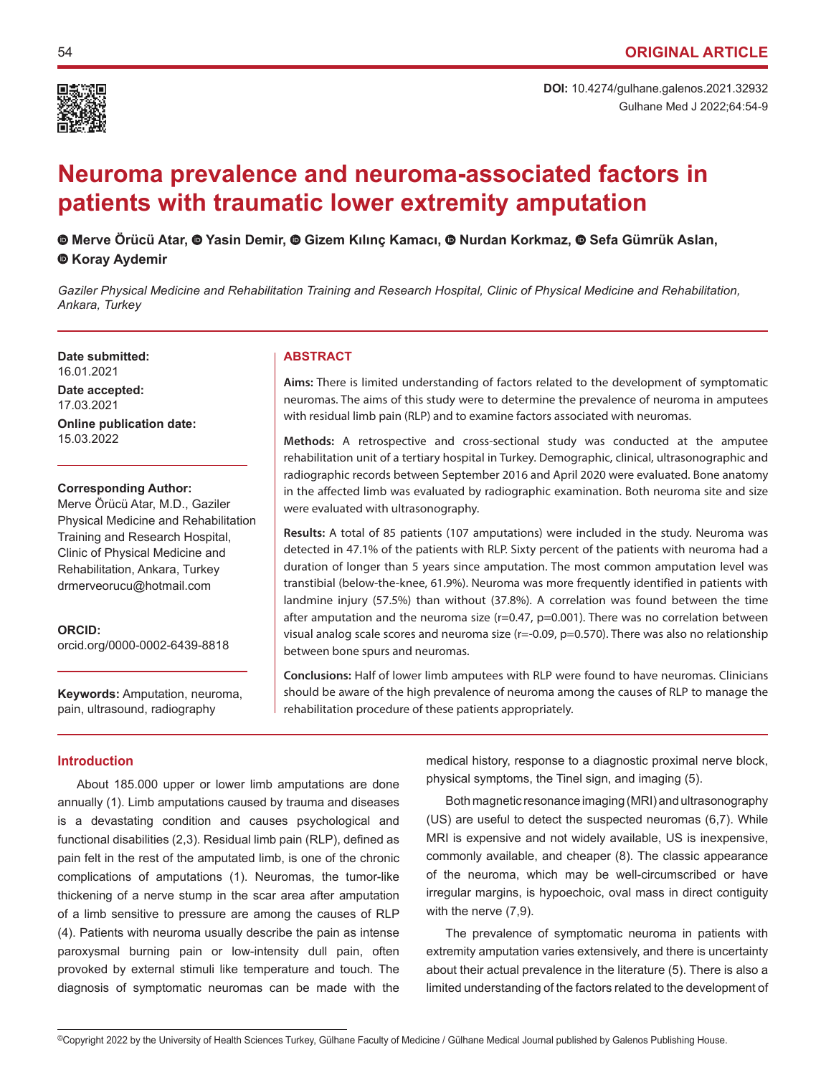

Gulhane Med J 2022;64:54-9 **DOI:** 10.4274/gulhane.galenos.2021.32932

# **Neuroma prevalence and neuroma-associated factors in patients with traumatic lower extremity amputation**

**Merve Örücü Atar,Yasin Demir,Gizem Kılınç Kamacı,Nurdan Korkmaz,Sefa Gümrük Aslan, Koray Aydemir**

*Gaziler Physical Medicine and Rehabilitation Training and Research Hospital, Clinic of Physical Medicine and Rehabilitation, Ankara, Turkey*

**Date submitted: ABSTRACT** 16.01.2021

**Date accepted:** 17.03.2021 **Online publication date:** 15.03.2022

# **Corresponding Author:**

Merve Örücü Atar, M.D., Gaziler Physical Medicine and Rehabilitation Training and Research Hospital, Clinic of Physical Medicine and Rehabilitation, Ankara, Turkey drmerveorucu@hotmail.com

#### **ORCID:**

orcid.org/0000-0002-6439-8818

**Keywords:** Amputation, neuroma, pain, ultrasound, radiography

**Aims:** There is limited understanding of factors related to the development of symptomatic neuromas. The aims of this study were to determine the prevalence of neuroma in amputees with residual limb pain (RLP) and to examine factors associated with neuromas.

**Methods:** A retrospective and cross-sectional study was conducted at the amputee rehabilitation unit of a tertiary hospital in Turkey. Demographic, clinical, ultrasonographic and radiographic records between September 2016 and April 2020 were evaluated. Bone anatomy in the affected limb was evaluated by radiographic examination. Both neuroma site and size were evaluated with ultrasonography.

**Results:** A total of 85 patients (107 amputations) were included in the study. Neuroma was detected in 47.1% of the patients with RLP. Sixty percent of the patients with neuroma had a duration of longer than 5 years since amputation. The most common amputation level was transtibial (below-the-knee, 61.9%). Neuroma was more frequently identified in patients with landmine injury (57.5%) than without (37.8%). A correlation was found between the time after amputation and the neuroma size ( $r=0.47$ ,  $p=0.001$ ). There was no correlation between visual analog scale scores and neuroma size ( $r=-0.09$ ,  $p=0.570$ ). There was also no relationship between bone spurs and neuromas.

**Conclusions:** Half of lower limb amputees with RLP were found to have neuromas. Clinicians should be aware of the high prevalence of neuroma among the causes of RLP to manage the rehabilitation procedure of these patients appropriately.

# **Introduction**

About 185.000 upper or lower limb amputations are done annually (1). Limb amputations caused by trauma and diseases is a devastating condition and causes psychological and functional disabilities (2,3). Residual limb pain (RLP), defined as pain felt in the rest of the amputated limb, is one of the chronic complications of amputations (1). Neuromas, the tumor-like thickening of a nerve stump in the scar area after amputation of a limb sensitive to pressure are among the causes of RLP (4). Patients with neuroma usually describe the pain as intense paroxysmal burning pain or low-intensity dull pain, often provoked by external stimuli like temperature and touch. The diagnosis of symptomatic neuromas can be made with the

medical history, response to a diagnostic proximal nerve block, physical symptoms, the Tinel sign, and imaging (5).

Both magnetic resonance imaging (MRI) and ultrasonography (US) are useful to detect the suspected neuromas (6,7). While MRI is expensive and not widely available, US is inexpensive, commonly available, and cheaper (8). The classic appearance of the neuroma, which may be well-circumscribed or have irregular margins, is hypoechoic, oval mass in direct contiguity with the nerve (7,9).

The prevalence of symptomatic neuroma in patients with extremity amputation varies extensively, and there is uncertainty about their actual prevalence in the literature (5). There is also a limited understanding of the factors related to the development of

<sup>©</sup>Copyright 2022 by the University of Health Sciences Turkey, Gülhane Faculty of Medicine / Gülhane Medical Journal published by Galenos Publishing House.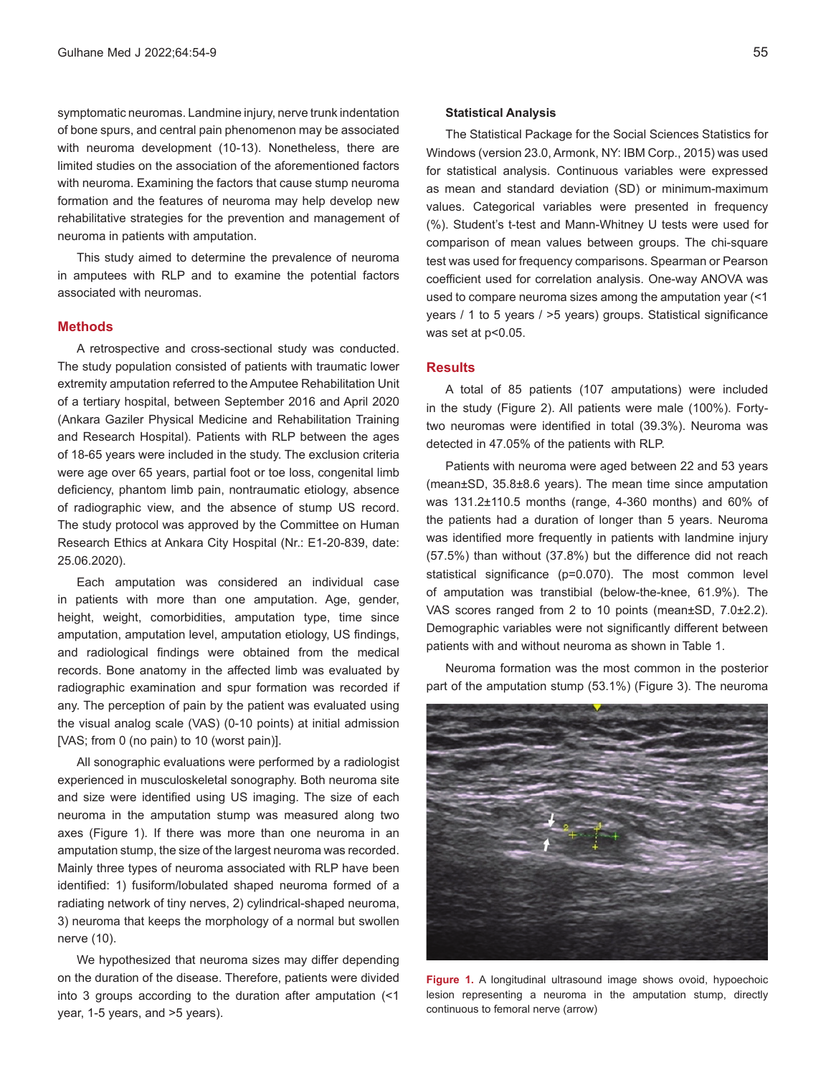symptomatic neuromas. Landmine injury, nerve trunk indentation of bone spurs, and central pain phenomenon may be associated with neuroma development (10-13). Nonetheless, there are limited studies on the association of the aforementioned factors with neuroma. Examining the factors that cause stump neuroma formation and the features of neuroma may help develop new rehabilitative strategies for the prevention and management of neuroma in patients with amputation.

This study aimed to determine the prevalence of neuroma in amputees with RLP and to examine the potential factors associated with neuromas.

### **Methods**

A retrospective and cross-sectional study was conducted. The study population consisted of patients with traumatic lower extremity amputation referred to the Amputee Rehabilitation Unit of a tertiary hospital, between September 2016 and April 2020 (Ankara Gaziler Physical Medicine and Rehabilitation Training and Research Hospital). Patients with RLP between the ages of 18-65 years were included in the study. The exclusion criteria were age over 65 years, partial foot or toe loss, congenital limb deficiency, phantom limb pain, nontraumatic etiology, absence of radiographic view, and the absence of stump US record. The study protocol was approved by the Committee on Human Research Ethics at Ankara City Hospital (Nr.: E1-20-839, date: 25.06.2020).

Each amputation was considered an individual case in patients with more than one amputation. Age, gender, height, weight, comorbidities, amputation type, time since amputation, amputation level, amputation etiology, US findings, and radiological findings were obtained from the medical records. Bone anatomy in the affected limb was evaluated by radiographic examination and spur formation was recorded if any. The perception of pain by the patient was evaluated using the visual analog scale (VAS) (0-10 points) at initial admission [VAS; from 0 (no pain) to 10 (worst pain)].

All sonographic evaluations were performed by a radiologist experienced in musculoskeletal sonography. Both neuroma site and size were identified using US imaging. The size of each neuroma in the amputation stump was measured along two axes (Figure 1). If there was more than one neuroma in an amputation stump, the size of the largest neuroma was recorded. Mainly three types of neuroma associated with RLP have been identified: 1) fusiform/lobulated shaped neuroma formed of a radiating network of tiny nerves, 2) cylindrical-shaped neuroma, 3) neuroma that keeps the morphology of a normal but swollen nerve (10).

We hypothesized that neuroma sizes may differ depending on the duration of the disease. Therefore, patients were divided into 3 groups according to the duration after amputation (<1 year, 1-5 years, and >5 years).

#### **Statistical Analysis**

The Statistical Package for the Social Sciences Statistics for Windows (version 23.0, Armonk, NY: IBM Corp., 2015) was used for statistical analysis. Continuous variables were expressed as mean and standard deviation (SD) or minimum-maximum values. Categorical variables were presented in frequency (%). Student's t-test and Mann-Whitney U tests were used for comparison of mean values between groups. The chi-square test was used for frequency comparisons. Spearman or Pearson coefficient used for correlation analysis. One-way ANOVA was used to compare neuroma sizes among the amputation year (<1 years / 1 to 5 years / >5 years) groups. Statistical significance was set at p<0.05.

#### **Results**

A total of 85 patients (107 amputations) were included in the study (Figure 2). All patients were male (100%). Fortytwo neuromas were identified in total (39.3%). Neuroma was detected in 47.05% of the patients with RLP.

Patients with neuroma were aged between 22 and 53 years (mean±SD, 35.8±8.6 years). The mean time since amputation was 131.2±110.5 months (range, 4-360 months) and 60% of the patients had a duration of longer than 5 years. Neuroma was identified more frequently in patients with landmine injury (57.5%) than without (37.8%) but the difference did not reach statistical significance (p=0.070). The most common level of amputation was transtibial (below-the-knee, 61.9%). The VAS scores ranged from 2 to 10 points (mean±SD, 7.0±2.2). Demographic variables were not significantly different between patients with and without neuroma as shown in Table 1.

Neuroma formation was the most common in the posterior part of the amputation stump (53.1%) (Figure 3). The neuroma



Figure 1. A longitudinal ultrasound image shows ovoid, hypoechoic lesion representing a neuroma in the amputation stump, directly continuous to femoral nerve (arrow)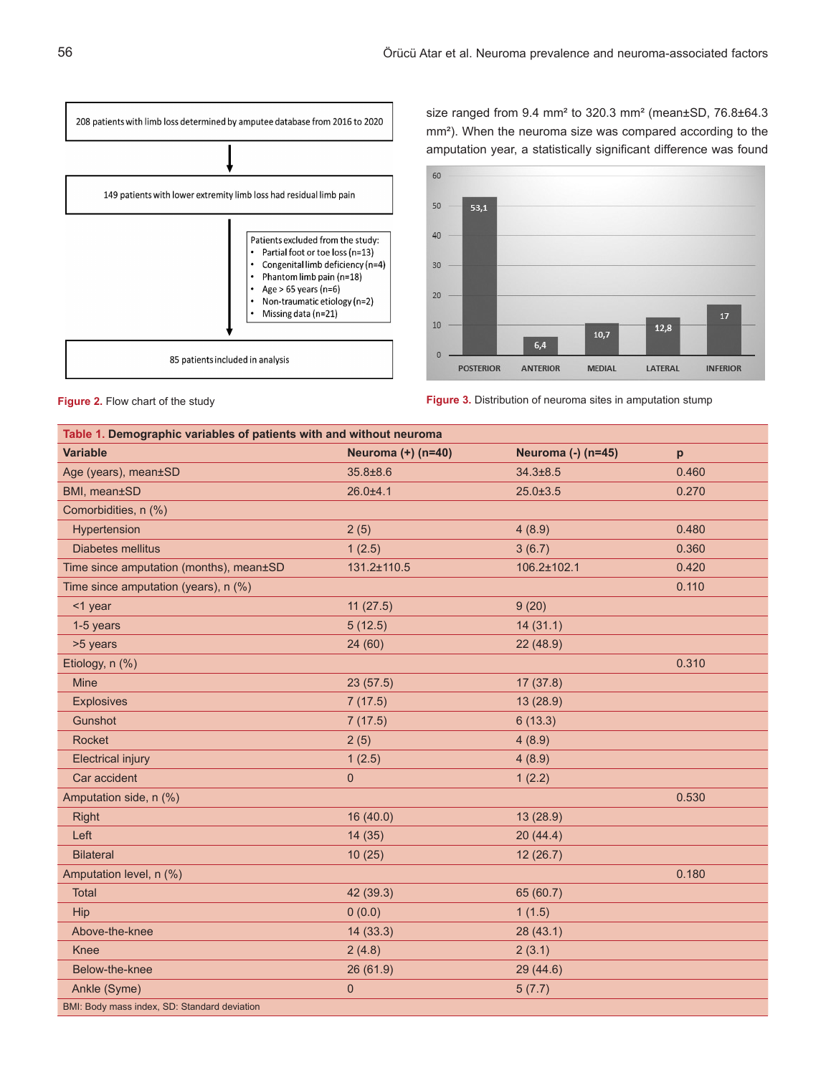

size ranged from 9.4 mm<sup>2</sup> to 320.3 mm<sup>2</sup> (mean±SD, 76.8±64.3 mm²). When the neuroma size was compared according to the amputation year, a statistically significant difference was found



**Figure 3.** Distribution of neuroma sites in amputation stump

**Figure 2.** Flow chart of the study

| Table 1. Demographic variables of patients with and without neuroma |                    |                    |       |  |  |
|---------------------------------------------------------------------|--------------------|--------------------|-------|--|--|
| <b>Variable</b>                                                     | Neuroma (+) (n=40) | Neuroma (-) (n=45) | p     |  |  |
| Age (years), mean±SD                                                | $35.8 \pm 8.6$     | $34.3 \pm 8.5$     | 0.460 |  |  |
| BMI, mean±SD                                                        | $26.0 + 4.1$       | $25.0 \pm 3.5$     | 0.270 |  |  |
| Comorbidities, n (%)                                                |                    |                    |       |  |  |
| Hypertension                                                        | 2(5)               | 4(8.9)             | 0.480 |  |  |
| <b>Diabetes mellitus</b>                                            | 1(2.5)             | 3(6.7)             | 0.360 |  |  |
| Time since amputation (months), mean±SD                             | 131.2±110.5        | 106.2±102.1        | 0.420 |  |  |
| Time since amputation (years), n (%)                                |                    |                    | 0.110 |  |  |
| <1 year                                                             | 11(27.5)           | 9(20)              |       |  |  |
| 1-5 years                                                           | 5(12.5)            | 14(31.1)           |       |  |  |
| >5 years                                                            | 24 (60)            | 22 (48.9)          |       |  |  |
| Etiology, n (%)                                                     |                    |                    | 0.310 |  |  |
| <b>Mine</b>                                                         | 23(57.5)           | 17(37.8)           |       |  |  |
| <b>Explosives</b>                                                   | 7(17.5)            | 13 (28.9)          |       |  |  |
| Gunshot                                                             | 7(17.5)            | 6(13.3)            |       |  |  |
| Rocket                                                              | 2(5)               | 4(8.9)             |       |  |  |
| <b>Electrical injury</b>                                            | 1(2.5)             | 4(8.9)             |       |  |  |
| Car accident                                                        | $\mathbf{0}$       | 1(2.2)             |       |  |  |
| Amputation side, n (%)                                              |                    |                    | 0.530 |  |  |
| <b>Right</b>                                                        | 16(40.0)           | 13 (28.9)          |       |  |  |
| Left                                                                | 14(35)             | 20(44.4)           |       |  |  |
| <b>Bilateral</b>                                                    | 10(25)             | 12(26.7)           |       |  |  |
| Amputation level, n (%)                                             |                    |                    | 0.180 |  |  |
| Total                                                               | 42 (39.3)          | 65 (60.7)          |       |  |  |
| Hip                                                                 | 0(0.0)             | 1(1.5)             |       |  |  |
| Above-the-knee                                                      | 14(33.3)           | 28(43.1)           |       |  |  |
| Knee                                                                | 2(4.8)             | 2(3.1)             |       |  |  |
| Below-the-knee                                                      | 26(61.9)           | 29(44.6)           |       |  |  |
| Ankle (Syme)                                                        | $\overline{0}$     | 5(7.7)             |       |  |  |
| BMI: Body mass index, SD: Standard deviation                        |                    |                    |       |  |  |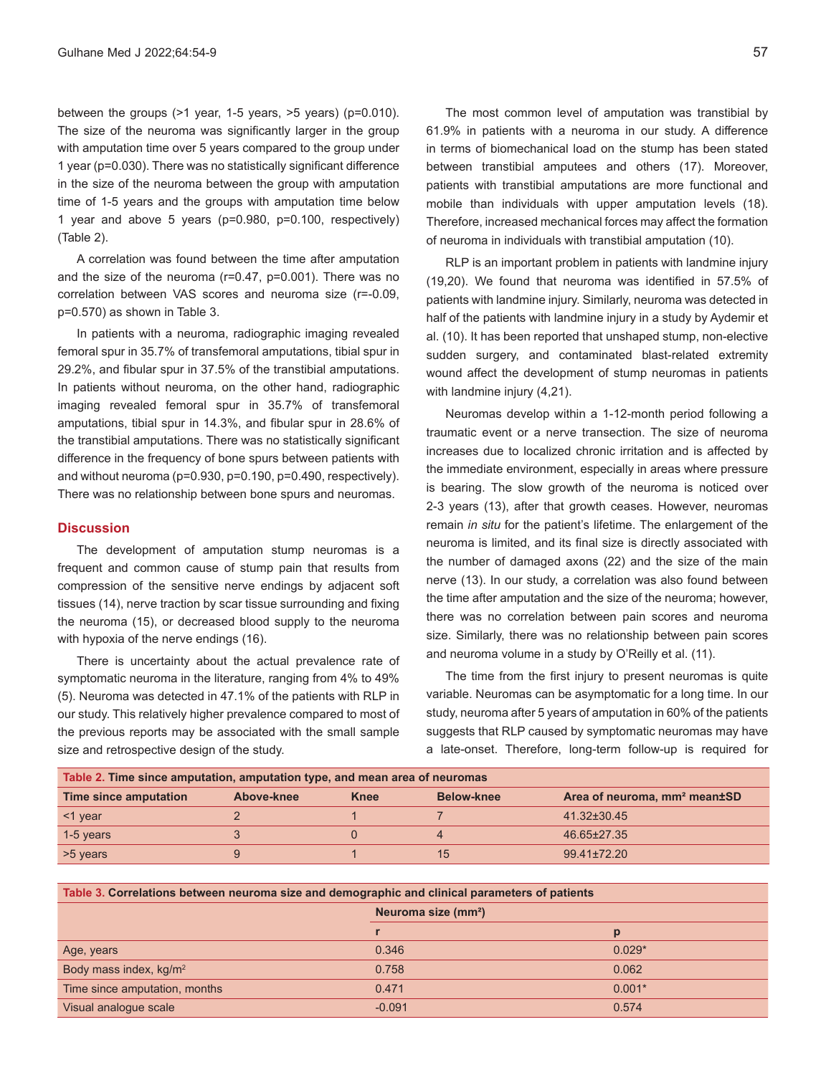between the groups (>1 year, 1-5 years, >5 years) (p=0.010). The size of the neuroma was significantly larger in the group with amputation time over 5 years compared to the group under 1 year (p=0.030). There was no statistically significant difference in the size of the neuroma between the group with amputation time of 1-5 years and the groups with amputation time below 1 year and above 5 years (p=0.980, p=0.100, respectively) (Table 2).

A correlation was found between the time after amputation and the size of the neuroma (r=0.47, p=0.001). There was no correlation between VAS scores and neuroma size (r=-0.09, p=0.570) as shown in Table 3.

In patients with a neuroma, radiographic imaging revealed femoral spur in 35.7% of transfemoral amputations, tibial spur in 29.2%, and fibular spur in 37.5% of the transtibial amputations. In patients without neuroma, on the other hand, radiographic imaging revealed femoral spur in 35.7% of transfemoral amputations, tibial spur in 14.3%, and fibular spur in 28.6% of the transtibial amputations. There was no statistically significant difference in the frequency of bone spurs between patients with and without neuroma (p=0.930, p=0.190, p=0.490, respectively). There was no relationship between bone spurs and neuromas.

# **Discussion**

The development of amputation stump neuromas is a frequent and common cause of stump pain that results from compression of the sensitive nerve endings by adjacent soft tissues (14), nerve traction by scar tissue surrounding and fixing the neuroma (15), or decreased blood supply to the neuroma with hypoxia of the nerve endings (16).

There is uncertainty about the actual prevalence rate of symptomatic neuroma in the literature, ranging from 4% to 49% (5). Neuroma was detected in 47.1% of the patients with RLP in our study. This relatively higher prevalence compared to most of the previous reports may be associated with the small sample size and retrospective design of the study.

The most common level of amputation was transtibial by 61.9% in patients with a neuroma in our study. A difference in terms of biomechanical load on the stump has been stated between transtibial amputees and others (17). Moreover, patients with transtibial amputations are more functional and mobile than individuals with upper amputation levels (18). Therefore, increased mechanical forces may affect the formation of neuroma in individuals with transtibial amputation (10).

RLP is an important problem in patients with landmine injury (19,20). We found that neuroma was identified in 57.5% of patients with landmine injury. Similarly, neuroma was detected in half of the patients with landmine injury in a study by Aydemir et al. (10). It has been reported that unshaped stump, non-elective sudden surgery, and contaminated blast-related extremity wound affect the development of stump neuromas in patients with landmine injury (4,21).

Neuromas develop within a 1-12-month period following a traumatic event or a nerve transection. The size of neuroma increases due to localized chronic irritation and is affected by the immediate environment, especially in areas where pressure is bearing. The slow growth of the neuroma is noticed over 2-3 years (13), after that growth ceases. However, neuromas remain *in situ* for the patient's lifetime. The enlargement of the neuroma is limited, and its final size is directly associated with the number of damaged axons (22) and the size of the main nerve (13). In our study, a correlation was also found between the time after amputation and the size of the neuroma; however, there was no correlation between pain scores and neuroma size. Similarly, there was no relationship between pain scores and neuroma volume in a study by O'Reilly et al. (11).

The time from the first injury to present neuromas is quite variable. Neuromas can be asymptomatic for a long time. In our study, neuroma after 5 years of amputation in 60% of the patients suggests that RLP caused by symptomatic neuromas may have a late-onset. Therefore, long-term follow-up is required for

| Table 2. Time since amputation, amputation type, and mean area of neuromas |            |      |                   |                                          |  |
|----------------------------------------------------------------------------|------------|------|-------------------|------------------------------------------|--|
| Time since amputation                                                      | Above-knee | Knee | <b>Below-knee</b> | Area of neuroma, mm <sup>2</sup> mean±SD |  |
| $<$ 1 year                                                                 |            |      |                   | $41.32 \pm 30.45$                        |  |
| 1-5 years                                                                  |            |      |                   | $46.65 \pm 27.35$                        |  |
| >5 years                                                                   |            |      | 15                | $99.41 \pm 72.20$                        |  |

**Table 3. Correlations between neuroma size and demographic and clinical parameters of patients Neuroma size (mm²) r p** Age, years  $0.029^*$ Body mass index, kg/m<sup>2</sup> 0.062 0.062 0.758 0.062 0.062 0.062 0.062 0.062 0.062 0.062 0.062 0.062 0.062 0.062 0.062 0.062 0.062 0.062 0.062 0.062 0.062 0.062 0.062 0.062 0.062 0.062 0.062 0.062 0.062 0.062 0.062 0.07 0.07 Time since amputation, months 0.471 0.001\* Visual analogue scale -0.091 0.574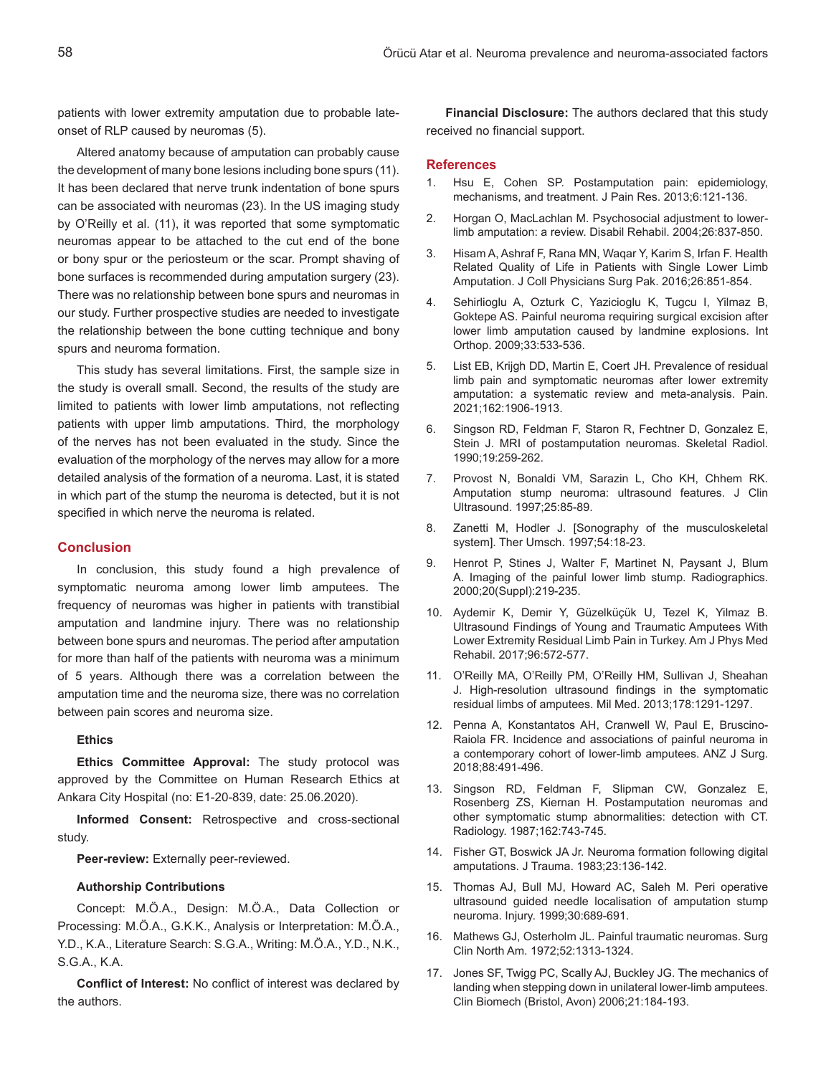patients with lower extremity amputation due to probable lateonset of RLP caused by neuromas (5).

Altered anatomy because of amputation can probably cause the development of many bone lesions including bone spurs (11). It has been declared that nerve trunk indentation of bone spurs can be associated with neuromas (23). In the US imaging study by O'Reilly et al. (11), it was reported that some symptomatic neuromas appear to be attached to the cut end of the bone or bony spur or the periosteum or the scar. Prompt shaving of bone surfaces is recommended during amputation surgery (23). There was no relationship between bone spurs and neuromas in our study. Further prospective studies are needed to investigate the relationship between the bone cutting technique and bony spurs and neuroma formation.

This study has several limitations. First, the sample size in the study is overall small. Second, the results of the study are limited to patients with lower limb amputations, not reflecting patients with upper limb amputations. Third, the morphology of the nerves has not been evaluated in the study. Since the evaluation of the morphology of the nerves may allow for a more detailed analysis of the formation of a neuroma. Last, it is stated in which part of the stump the neuroma is detected, but it is not specified in which nerve the neuroma is related.

### **Conclusion**

In conclusion, this study found a high prevalence of symptomatic neuroma among lower limb amputees. The frequency of neuromas was higher in patients with transtibial amputation and landmine injury. There was no relationship between bone spurs and neuromas. The period after amputation for more than half of the patients with neuroma was a minimum of 5 years. Although there was a correlation between the amputation time and the neuroma size, there was no correlation between pain scores and neuroma size.

# **Ethics**

**Ethics Committee Approval:** The study protocol was approved by the Committee on Human Research Ethics at Ankara City Hospital (no: E1-20-839, date: 25.06.2020).

**Informed Consent:** Retrospective and cross-sectional study.

**Peer-review:** Externally peer-reviewed.

### **Authorship Contributions**

Concept: M.Ö.A., Design: M.Ö.A., Data Collection or Processing: M.Ö.A., G.K.K., Analysis or Interpretation: M.Ö.A., Y.D., K.A., Literature Search: S.G.A., Writing: M.Ö.A., Y.D., N.K., S.G.A., K.A.

**Conflict of Interest:** No conflict of interest was declared by the authors.

**Financial Disclosure:** The authors declared that this study received no financial support.

#### **References**

- 1. Hsu E, Cohen SP. Postamputation pain: epidemiology, mechanisms, and treatment. J Pain Res. 2013;6:121-136.
- 2. Horgan O, MacLachlan M. Psychosocial adjustment to lowerlimb amputation: a review. Disabil Rehabil. 2004;26:837-850.
- 3. Hisam A, Ashraf F, Rana MN, Waqar Y, Karim S, Irfan F. Health Related Quality of Life in Patients with Single Lower Limb Amputation. J Coll Physicians Surg Pak. 2016;26:851-854.
- 4. Sehirlioglu A, Ozturk C, Yazicioglu K, Tugcu I, Yilmaz B, Goktepe AS. Painful neuroma requiring surgical excision after lower limb amputation caused by landmine explosions. Int Orthop. 2009;33:533-536.
- 5. List EB, Krijgh DD, Martin E, Coert JH. Prevalence of residual limb pain and symptomatic neuromas after lower extremity amputation: a systematic review and meta-analysis. Pain. 2021;162:1906-1913.
- 6. Singson RD, Feldman F, Staron R, Fechtner D, Gonzalez E, Stein J. MRI of postamputation neuromas. Skeletal Radiol. 1990;19:259-262.
- 7. Provost N, Bonaldi VM, Sarazin L, Cho KH, Chhem RK. Amputation stump neuroma: ultrasound features. J Clin Ultrasound. 1997;25:85-89.
- 8. Zanetti M, Hodler J. [Sonography of the musculoskeletal system]. Ther Umsch. 1997;54:18-23.
- 9. Henrot P, Stines J, Walter F, Martinet N, Paysant J, Blum A. Imaging of the painful lower limb stump. Radiographics. 2000;20(Suppl):219-235.
- 10. Aydemir K, Demir Y, Güzelküçük U, Tezel K, Yilmaz B. Ultrasound Findings of Young and Traumatic Amputees With Lower Extremity Residual Limb Pain in Turkey. Am J Phys Med Rehabil. 2017;96:572-577.
- 11. O'Reilly MA, O'Reilly PM, O'Reilly HM, Sullivan J, Sheahan J. High-resolution ultrasound findings in the symptomatic residual limbs of amputees. Mil Med. 2013;178:1291-1297.
- 12. Penna A, Konstantatos AH, Cranwell W, Paul E, Bruscino-Raiola FR. Incidence and associations of painful neuroma in a contemporary cohort of lower-limb amputees. ANZ J Surg. 2018;88:491-496.
- 13. Singson RD, Feldman F, Slipman CW, Gonzalez E, Rosenberg ZS, Kiernan H. Postamputation neuromas and other symptomatic stump abnormalities: detection with CT. Radiology. 1987;162:743-745.
- 14. Fisher GT, Boswick JA Jr. Neuroma formation following digital amputations. J Trauma. 1983;23:136-142.
- 15. Thomas AJ, Bull MJ, Howard AC, Saleh M. Peri operative ultrasound guided needle localisation of amputation stump neuroma. Injury. 1999;30:689-691.
- 16. Mathews GJ, Osterholm JL. Painful traumatic neuromas. Surg Clin North Am. 1972;52:1313-1324.
- 17. Jones SF, Twigg PC, Scally AJ, Buckley JG. The mechanics of landing when stepping down in unilateral lower-limb amputees. Clin Biomech (Bristol, Avon) 2006;21:184-193.